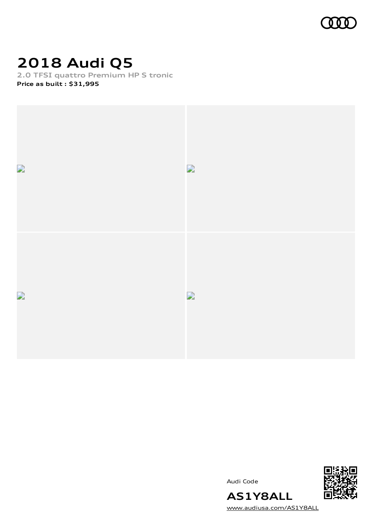

# **2018 Audi Q5**

**2.0 TFSI quattro Premium HP S tronic Price as built [:](#page-11-0) \$31,995**



Audi Code



**AS1Y8ALL** [www.audiusa.com/AS1Y8ALL](https://www.audiusa.com/AS1Y8ALL)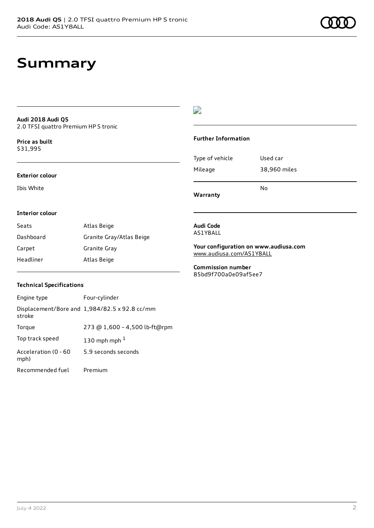### **Audi 2018 Audi Q5** 2.0 TFSI quattro Premium HP S tronic

**Price as buil[t](#page-11-0)** \$31,995

### **Exterior colour**

Ibis White

### $\overline{\phantom{a}}$

#### **Further Information**

|                 | N٥           |
|-----------------|--------------|
| Mileage         | 38,960 miles |
| Type of vehicle | Used car     |

**Warranty**

### **Interior colour**

| Seats     | Atlas Beige              |
|-----------|--------------------------|
| Dashboard | Granite Gray/Atlas Beige |
| Carpet    | Granite Gray             |
| Headliner | Atlas Beige              |

#### **Audi Code** AS1Y8ALL

**Your configuration on www.audiusa.com** [www.audiusa.com/AS1Y8ALL](https://www.audiusa.com/AS1Y8ALL)

**Commission number** 85bd9f700a0e09af5ee7

#### **Technical Specifications**

| Engine type                  | Four-cylinder                                 |
|------------------------------|-----------------------------------------------|
| stroke                       | Displacement/Bore and 1,984/82.5 x 92.8 cc/mm |
| Torque                       | 273 @ 1,600 - 4,500 lb-ft@rpm                 |
| Top track speed              | 130 mph mph $1$                               |
| Acceleration (0 - 60<br>mph) | 5.9 seconds seconds                           |
| Recommended fuel             | Premium                                       |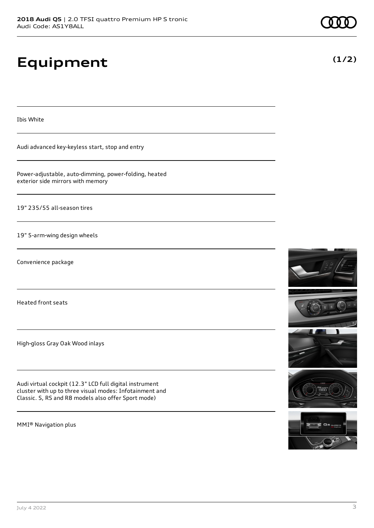# **Equipment**

Ibis White

Audi advanced key-keyless start, stop and entry

Power-adjustable, auto-dimming, power-folding, heated exterior side mirrors with memory

19" 235/55 all-season tires

19" 5-arm-wing design wheels

Convenience package

Heated front seats

High-gloss Gray Oak Wood inlays

Audi virtual cockpit (12.3" LCD full digital instrument cluster with up to three visual modes: Infotainment and Classic. S, RS and R8 models also offer Sport mode)

MMI® Navigation plus



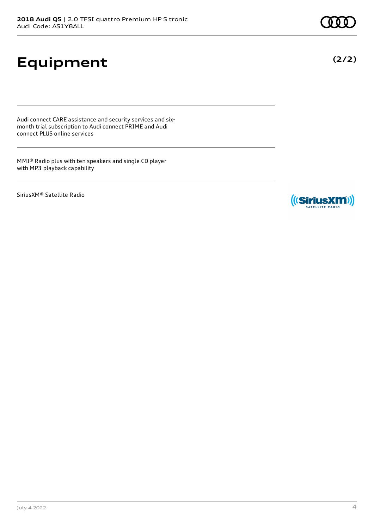# **Equipment**

Audi connect CARE assistance and security services and sixmonth trial subscription to Audi connect PRIME and Audi connect PLUS online services

MMI® Radio plus with ten speakers and single CD player with MP3 playback capability

SiriusXM® Satellite Radio



**(2/2)**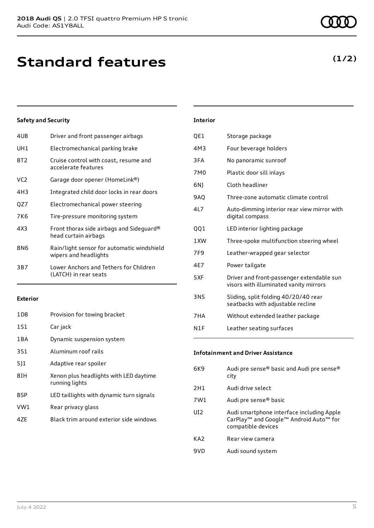## **Standard features**

### **Safety and Security**

| 4UB | Driver and front passenger airbags                                  |
|-----|---------------------------------------------------------------------|
| UH1 | Electromechanical parking brake                                     |
| 8T2 | Cruise control with coast, resume and<br>accelerate features        |
| VC2 | Garage door opener (HomeLink®)                                      |
| 4H3 | Integrated child door locks in rear doors                           |
| QZ7 | Electromechanical power steering                                    |
| 7K6 | Tire-pressure monitoring system                                     |
| 4X3 | Front thorax side airbags and Sideguard®<br>head curtain airbags    |
| 8N6 | Rain/light sensor for automatic windshield<br>wipers and headlights |
| 3B7 | Lower Anchors and Tethers for Children<br>(LATCH) in rear seats     |
|     |                                                                     |

### **Exterior**

| 1D <sub>8</sub> | Provision for towing bracket                             |
|-----------------|----------------------------------------------------------|
| 1S1             | Car jack                                                 |
| 1 B A           | Dynamic suspension system                                |
| 3S1             | Aluminum roof rails                                      |
| 511             | Adaptive rear spoiler                                    |
| 8IH             | Xenon plus headlights with LED daytime<br>running lights |
| 8SP             | LED taillights with dynamic turn signals                 |
| VW1             | Rear privacy glass                                       |
| 47F             | Black trim around exterior side windows                  |

| QE1             | Storage package                                                                     |
|-----------------|-------------------------------------------------------------------------------------|
| 4M3             | Four beverage holders                                                               |
| 3FA             | No panoramic sunroof                                                                |
| 7M0             | Plastic door sill inlays                                                            |
| 6N)             | Cloth headliner                                                                     |
| <b>9AO</b>      | Three-zone automatic climate control                                                |
| 4L7             | Auto-dimming interior rear view mirror with<br>digital compass                      |
| 001             | LED interior lighting package                                                       |
| 1 XW            | Three-spoke multifunction steering wheel                                            |
| 7F <sub>9</sub> | Leather-wrapped gear selector                                                       |
| 4E7             | Power tailgate                                                                      |
| 5XF             | Driver and front-passenger extendable sun<br>visors with illuminated vanity mirrors |
| 3NS             | Sliding, split folding 40/20/40 rear<br>seatbacks with adjustable recline           |
| 7HA             | Without extended leather package                                                    |
|                 |                                                                                     |

**Interior**

N1F Leather seating surfaces

### **Infotainment and Driver Assistance**

| 6K9             | Audi pre sense® basic and Audi pre sense®<br>city                                                                                             |
|-----------------|-----------------------------------------------------------------------------------------------------------------------------------------------|
| 2H1             | Audi drive select                                                                                                                             |
| 7W1             | Audi pre sense <sup>®</sup> basic                                                                                                             |
| UI <sub>2</sub> | Audi smartphone interface including Apple<br>CarPlay <sup>™</sup> and Google <sup>™</sup> Android Auto <sup>™</sup> for<br>compatible devices |
| KA <sub>2</sub> | Rear view camera                                                                                                                              |
| 9VD             | Audi sound system                                                                                                                             |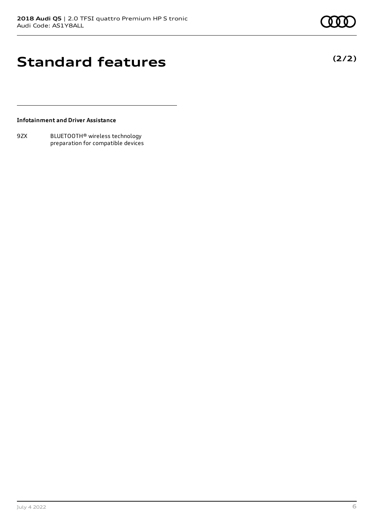**(2/2)**

### **Standard features**

**Infotainment and Driver Assistance**

9ZX BLUETOOTH® wireless technology preparation for compatible devices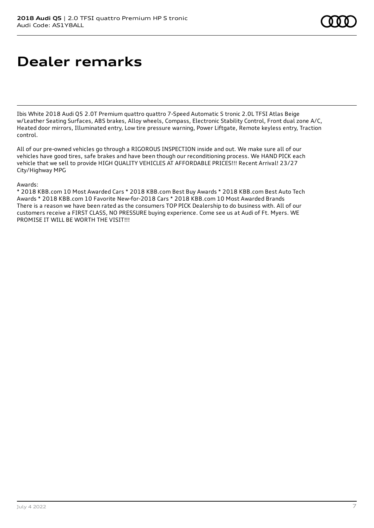## **Dealer remarks**

Ibis White 2018 Audi Q5 2.0T Premium quattro quattro 7-Speed Automatic S tronic 2.0L TFSI Atlas Beige w/Leather Seating Surfaces, ABS brakes, Alloy wheels, Compass, Electronic Stability Control, Front dual zone A/C, Heated door mirrors, Illuminated entry, Low tire pressure warning, Power Liftgate, Remote keyless entry, Traction control.

All of our pre-owned vehicles go through a RIGOROUS INSPECTION inside and out. We make sure all of our vehicles have good tires, safe brakes and have been though our reconditioning process. We HAND PICK each vehicle that we sell to provide HIGH QUALITY VEHICLES AT AFFORDABLE PRICES!!! Recent Arrival! 23/27 City/Highway MPG

#### Awards:

\* 2018 KBB.com 10 Most Awarded Cars \* 2018 KBB.com Best Buy Awards \* 2018 KBB.com Best Auto Tech Awards \* 2018 KBB.com 10 Favorite New-for-2018 Cars \* 2018 KBB.com 10 Most Awarded Brands There is a reason we have been rated as the consumers TOP PICK Dealership to do business with. All of our customers receive a FIRST CLASS, NO PRESSURE buying experience. Come see us at Audi of Ft. Myers. WE PROMISE IT WILL BE WORTH THE VISIT!!!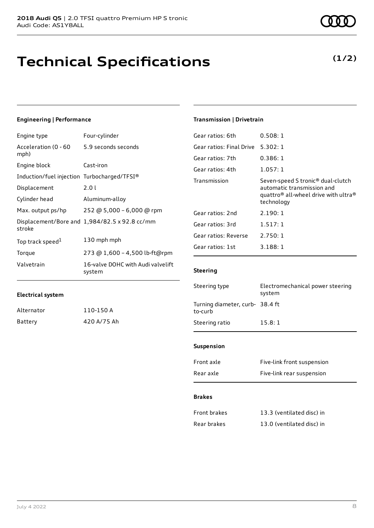## **Technical Specifications**

### **Engineering | Performance**

| Engine type                                 | Four-cylinder                                 |
|---------------------------------------------|-----------------------------------------------|
| Acceleration (0 - 60<br>mph)                | 5.9 seconds seconds                           |
| Engine block                                | Cast-iron                                     |
| Induction/fuel injection Turbocharged/TFSI® |                                               |
| Displacement                                | 2.01                                          |
| Cylinder head                               | Aluminum-alloy                                |
| Max. output ps/hp                           | 252 @ 5,000 - 6,000 @ rpm                     |
| stroke                                      | Displacement/Bore and 1,984/82.5 x 92.8 cc/mm |
| Top track speed <sup>1</sup>                | 130 mph mph                                   |
| Torque                                      | 273 @ 1,600 - 4,500 lb-ft@rpm                 |
| Valvetrain                                  | 16-valve DOHC with Audi valvelift<br>system   |

### **Transmission | Drivetrain**

| Gear ratios: 6th         | 0.508:1                                                                                                                                                   |
|--------------------------|-----------------------------------------------------------------------------------------------------------------------------------------------------------|
| Gear ratios: Final Drive | 5.302:1                                                                                                                                                   |
| Gear ratios: 7th         | 0.386:1                                                                                                                                                   |
| Gear ratios: 4th         | 1.057:1                                                                                                                                                   |
| Transmission             | Seven-speed S tronic <sup>®</sup> dual-clutch<br>automatic transmission and<br>quattro <sup>®</sup> all-wheel drive with ultra <sup>®</sup><br>technology |
| Gear ratios: 2nd         | 2.190:1                                                                                                                                                   |
| Gear ratios: 3rd         | 1.517:1                                                                                                                                                   |
| Gear ratios: Reverse     | 2.750:1                                                                                                                                                   |
| Gear ratios: 1st         | 3.188:1                                                                                                                                                   |
|                          |                                                                                                                                                           |

### **Steering**

| Steering type                             | Electromechanical power steering<br>system |
|-------------------------------------------|--------------------------------------------|
| Turning diameter, curb-38.4 ft<br>to-curb |                                            |
| Steering ratio                            | 15.8:1                                     |
|                                           |                                            |

### **Suspension**

| Front axle | Five-link front suspension |
|------------|----------------------------|
| Rear axle  | Five-link rear suspension  |

#### **Brakes**

| Front brakes | 13.3 (ventilated disc) in |
|--------------|---------------------------|
| Rear brakes  | 13.0 (ventilated disc) in |

| Alternator | 110-150 A   |
|------------|-------------|
| Battery    | 420 A/75 Ah |

**(1/2)**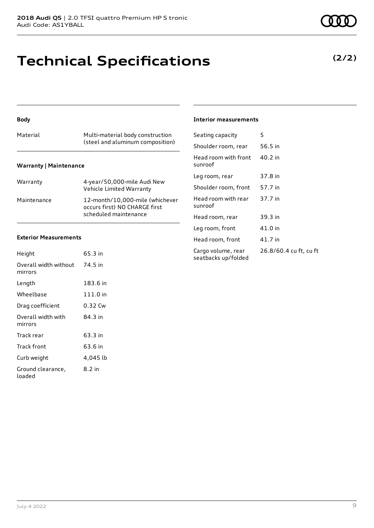## **Technical Specifications**

| Material                      | Multi-material body construction<br>(steel and aluminum composition)                      |  |
|-------------------------------|-------------------------------------------------------------------------------------------|--|
| <b>Warranty   Maintenance</b> |                                                                                           |  |
| Warranty                      | 4-year/50,000-mile Audi New<br>Vehicle Limited Warranty                                   |  |
| Maintenance                   | 12-month/10,000-mile (whichever<br>occurs first) NO CHARGE first<br>scheduled maintenance |  |

### **Exterior Measurements**

**Body**

| Height                           | 65.3 in  |
|----------------------------------|----------|
| Overall width without<br>mirrors | 74.5 in  |
| Length                           | 183.6 in |
| Wheelbase                        | 111.0 in |
| Drag coefficient                 | 0.32 Cw  |
| Overall width with<br>mirrors    | 84.3 in  |
| Track rear                       | 63.3 in  |
| Track front                      | 63.6 in  |
| Curb weight                      | 4,045 lb |
| Ground clearance,<br>loaded      | 8.2 in   |

#### **Interior measurements**

| Seating capacity                          | 5                      |
|-------------------------------------------|------------------------|
| Shoulder room, rear                       | 56.5 in                |
| Head room with front<br>sunroof           | 40.2 in                |
| Leg room, rear                            | 37.8 in                |
| Shoulder room, front                      | 57.7 in                |
| Head room with rear<br>sunroof            | 37.7 in                |
| Head room, rear                           | 39.3 in                |
| Leg room, front                           | 41.0 in                |
| Head room, front                          | 41.7 in                |
| Cargo volume, rear<br>seatbacks up/folded | 26.8/60.4 cu ft, cu ft |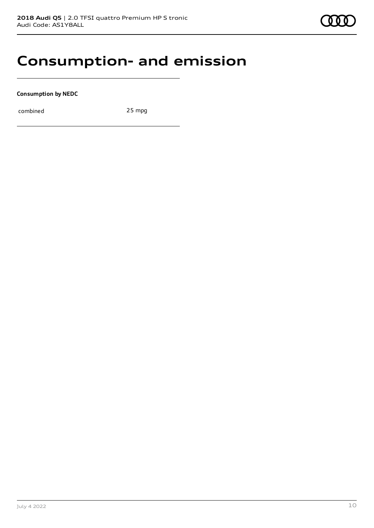### **Consumption- and emission**

**Consumption by NEDC**

combined 25 mpg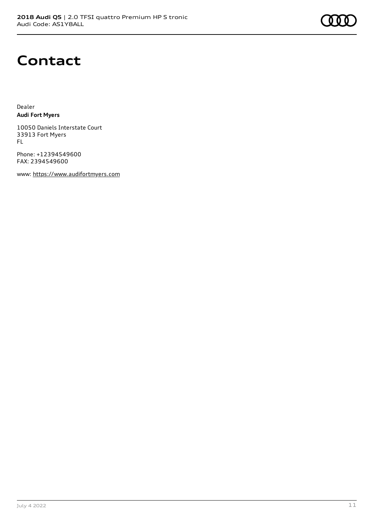### **Contact**

Dealer **Audi Fort Myers**

10050 Daniels Interstate Court 33913 Fort Myers FL

Phone: +12394549600 FAX: 2394549600

www: [https://www.audifortmyers.com](https://www.audifortmyers.com/)